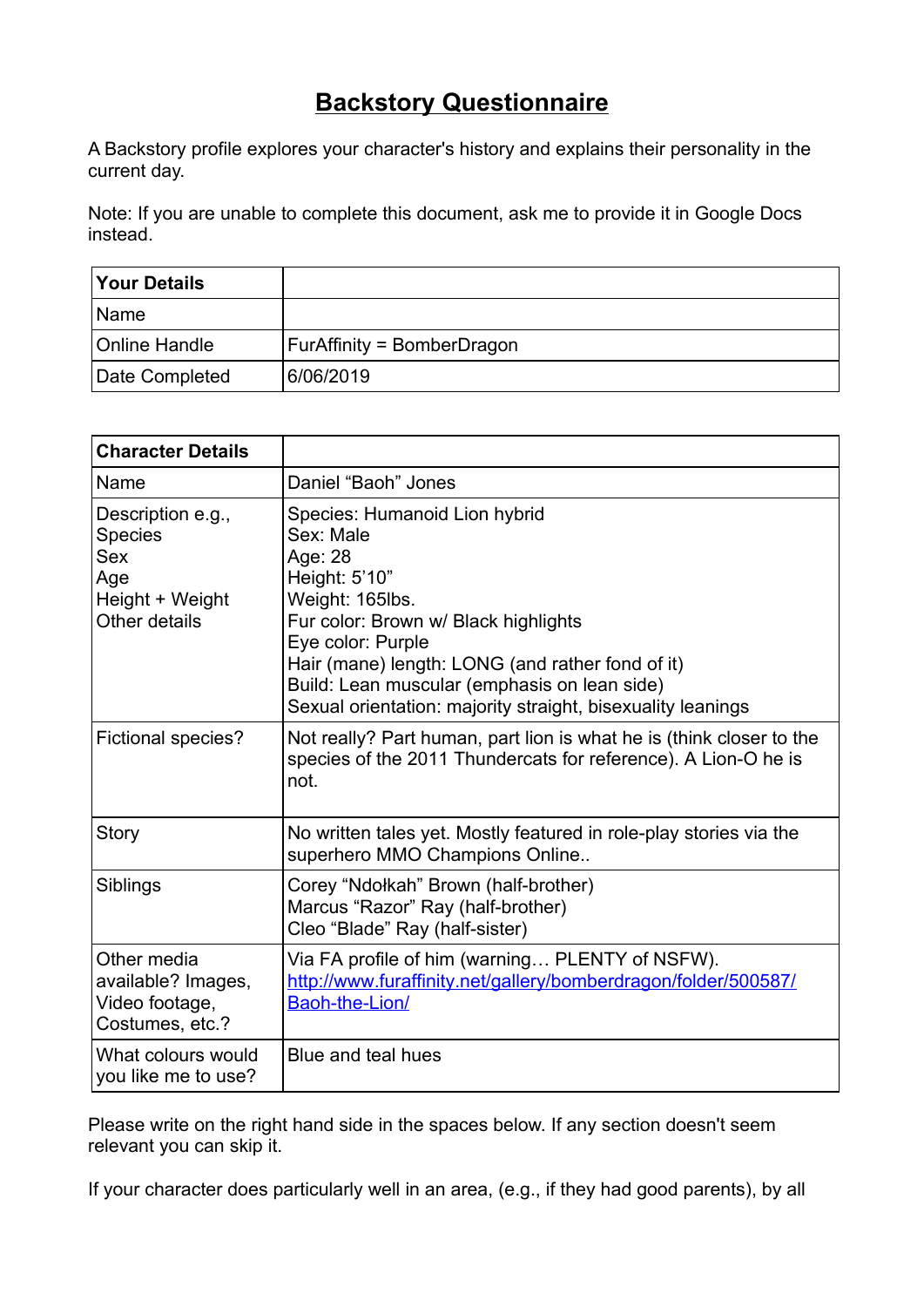## **Backstory Questionnaire**

A Backstory profile explores your character's history and explains their personality in the current day.

Note: If you are unable to complete this document, ask me to provide it in Google Docs instead.

| <b>Your Details</b>  |                                   |
|----------------------|-----------------------------------|
| Name                 |                                   |
| <b>Online Handle</b> | <b>FurAffinity = BomberDragon</b> |
| Date Completed       | 6/06/2019                         |

| <b>Character Details</b>                                                              |                                                                                                                                                                                                                                                                                                                           |
|---------------------------------------------------------------------------------------|---------------------------------------------------------------------------------------------------------------------------------------------------------------------------------------------------------------------------------------------------------------------------------------------------------------------------|
| Name                                                                                  | Daniel "Baoh" Jones                                                                                                                                                                                                                                                                                                       |
| Description e.g.,<br><b>Species</b><br>Sex<br>Age<br>Height + Weight<br>Other details | Species: Humanoid Lion hybrid<br>Sex: Male<br>Age: 28<br>Height: 5'10"<br>Weight: 165lbs.<br>Fur color: Brown w/ Black highlights<br>Eye color: Purple<br>Hair (mane) length: LONG (and rather fond of it)<br>Build: Lean muscular (emphasis on lean side)<br>Sexual orientation: majority straight, bisexuality leanings |
| <b>Fictional species?</b>                                                             | Not really? Part human, part lion is what he is (think closer to the<br>species of the 2011 Thundercats for reference). A Lion-O he is<br>not.                                                                                                                                                                            |
| Story                                                                                 | No written tales yet. Mostly featured in role-play stories via the<br>superhero MMO Champions Online                                                                                                                                                                                                                      |
| Siblings                                                                              | Corey "Ndołkah" Brown (half-brother)<br>Marcus "Razor" Ray (half-brother)<br>Cleo "Blade" Ray (half-sister)                                                                                                                                                                                                               |
| Other media<br>available? Images,<br>Video footage,<br>Costumes, etc.?                | Via FA profile of him (warning PLENTY of NSFW).<br>http://www.furaffinity.net/gallery/bomberdragon/folder/500587/<br>Baoh-the-Lion/                                                                                                                                                                                       |
| What colours would<br>you like me to use?                                             | Blue and teal hues                                                                                                                                                                                                                                                                                                        |

Please write on the right hand side in the spaces below. If any section doesn't seem relevant you can skip it.

If your character does particularly well in an area, (e.g., if they had good parents), by all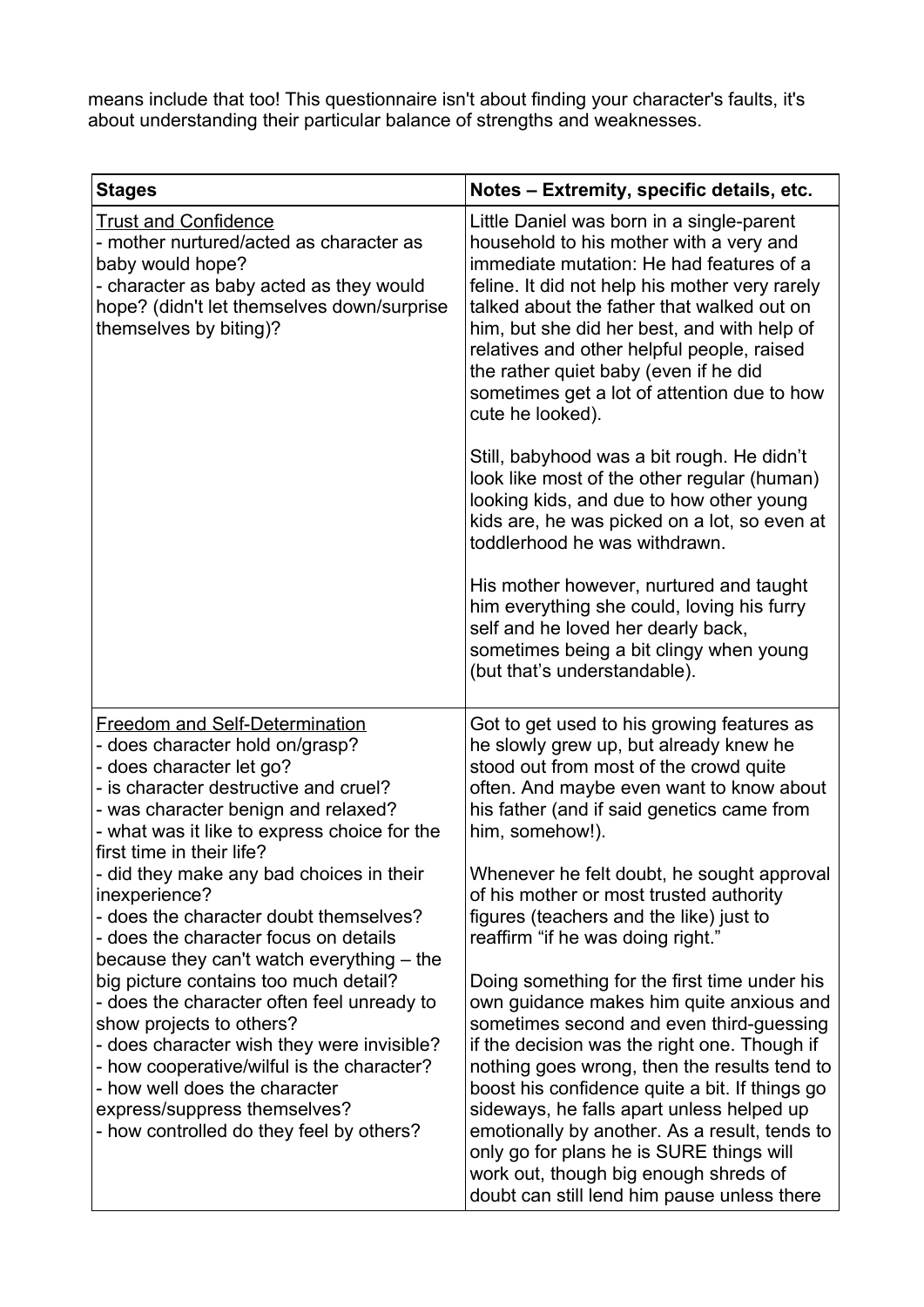means include that too! This questionnaire isn't about finding your character's faults, it's about understanding their particular balance of strengths and weaknesses.

| <b>Stages</b>                                                                                                                                                                                                                                                                                                            | Notes - Extremity, specific details, etc.                                                                                                                                                                                                                                                                                                                                                                                                                                                                                |
|--------------------------------------------------------------------------------------------------------------------------------------------------------------------------------------------------------------------------------------------------------------------------------------------------------------------------|--------------------------------------------------------------------------------------------------------------------------------------------------------------------------------------------------------------------------------------------------------------------------------------------------------------------------------------------------------------------------------------------------------------------------------------------------------------------------------------------------------------------------|
| <b>Trust and Confidence</b><br>- mother nurtured/acted as character as<br>baby would hope?<br>- character as baby acted as they would<br>hope? (didn't let themselves down/surprise<br>themselves by biting)?                                                                                                            | Little Daniel was born in a single-parent<br>household to his mother with a very and<br>immediate mutation: He had features of a<br>feline. It did not help his mother very rarely<br>talked about the father that walked out on<br>him, but she did her best, and with help of<br>relatives and other helpful people, raised<br>the rather quiet baby (even if he did<br>sometimes get a lot of attention due to how<br>cute he looked).                                                                                |
|                                                                                                                                                                                                                                                                                                                          | Still, babyhood was a bit rough. He didn't<br>look like most of the other regular (human)<br>looking kids, and due to how other young<br>kids are, he was picked on a lot, so even at<br>toddlerhood he was withdrawn.                                                                                                                                                                                                                                                                                                   |
|                                                                                                                                                                                                                                                                                                                          | His mother however, nurtured and taught<br>him everything she could, loving his furry<br>self and he loved her dearly back,<br>sometimes being a bit clingy when young<br>(but that's understandable).                                                                                                                                                                                                                                                                                                                   |
| <b>Freedom and Self-Determination</b><br>- does character hold on/grasp?<br>- does character let go?<br>- is character destructive and cruel?<br>- was character benign and relaxed?<br>- what was it like to express choice for the                                                                                     | Got to get used to his growing features as<br>he slowly grew up, but already knew he<br>stood out from most of the crowd quite<br>often. And maybe even want to know about<br>his father (and if said genetics came from<br>him, somehow!).                                                                                                                                                                                                                                                                              |
| first time in their life?<br>- did they make any bad choices in their<br>inexperience?<br>- does the character doubt themselves?<br>- does the character focus on details<br>because they can't watch everything – the                                                                                                   | Whenever he felt doubt, he sought approval<br>of his mother or most trusted authority<br>figures (teachers and the like) just to<br>reaffirm "if he was doing right."                                                                                                                                                                                                                                                                                                                                                    |
| big picture contains too much detail?<br>- does the character often feel unready to<br>show projects to others?<br>- does character wish they were invisible?<br>- how cooperative/wilful is the character?<br>- how well does the character<br>express/suppress themselves?<br>- how controlled do they feel by others? | Doing something for the first time under his<br>own guidance makes him quite anxious and<br>sometimes second and even third-guessing<br>if the decision was the right one. Though if<br>nothing goes wrong, then the results tend to<br>boost his confidence quite a bit. If things go<br>sideways, he falls apart unless helped up<br>emotionally by another. As a result, tends to<br>only go for plans he is SURE things will<br>work out, though big enough shreds of<br>doubt can still lend him pause unless there |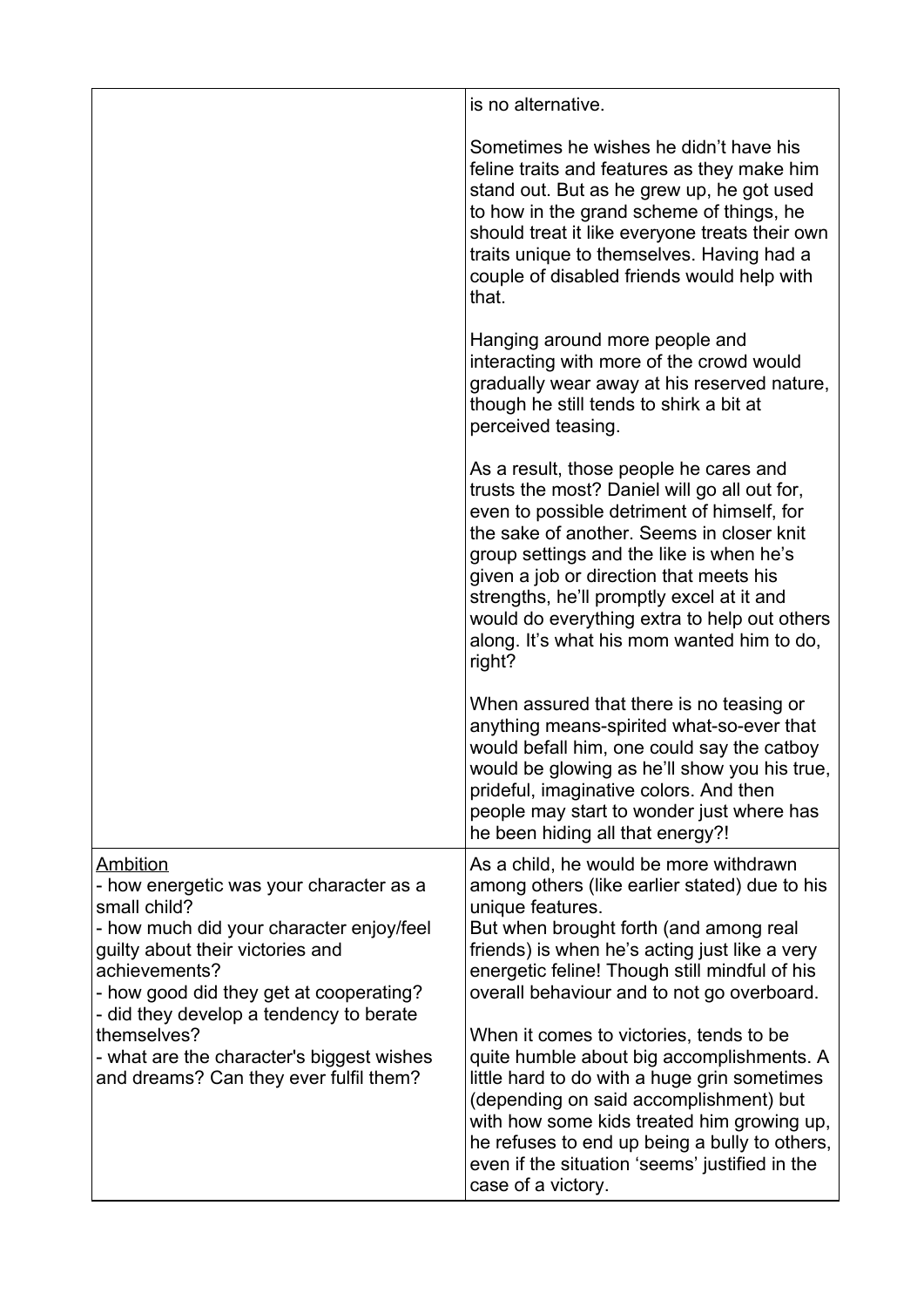|                                                                                                                                                                                                                                                                                                                        | is no alternative.                                                                                                                                                                                                                                                                                                                                                                                                            |
|------------------------------------------------------------------------------------------------------------------------------------------------------------------------------------------------------------------------------------------------------------------------------------------------------------------------|-------------------------------------------------------------------------------------------------------------------------------------------------------------------------------------------------------------------------------------------------------------------------------------------------------------------------------------------------------------------------------------------------------------------------------|
|                                                                                                                                                                                                                                                                                                                        | Sometimes he wishes he didn't have his<br>feline traits and features as they make him<br>stand out. But as he grew up, he got used<br>to how in the grand scheme of things, he<br>should treat it like everyone treats their own<br>traits unique to themselves. Having had a<br>couple of disabled friends would help with<br>that.                                                                                          |
|                                                                                                                                                                                                                                                                                                                        | Hanging around more people and<br>interacting with more of the crowd would<br>gradually wear away at his reserved nature,<br>though he still tends to shirk a bit at<br>perceived teasing.                                                                                                                                                                                                                                    |
|                                                                                                                                                                                                                                                                                                                        | As a result, those people he cares and<br>trusts the most? Daniel will go all out for,<br>even to possible detriment of himself, for<br>the sake of another. Seems in closer knit<br>group settings and the like is when he's<br>given a job or direction that meets his<br>strengths, he'll promptly excel at it and<br>would do everything extra to help out others<br>along. It's what his mom wanted him to do,<br>right? |
|                                                                                                                                                                                                                                                                                                                        | When assured that there is no teasing or<br>anything means-spirited what-so-ever that<br>would befall him, one could say the catboy<br>would be glowing as he'll show you his true,<br>prideful, imaginative colors. And then<br>people may start to wonder just where has<br>he been hiding all that energy?!                                                                                                                |
| Ambition<br>- how energetic was your character as a<br>small child?<br>- how much did your character enjoy/feel<br>guilty about their victories and<br>achievements?<br>- how good did they get at cooperating?<br>- did they develop a tendency to berate<br>themselves?<br>- what are the character's biggest wishes | As a child, he would be more withdrawn<br>among others (like earlier stated) due to his<br>unique features.<br>But when brought forth (and among real<br>friends) is when he's acting just like a very<br>energetic feline! Though still mindful of his<br>overall behaviour and to not go overboard.<br>When it comes to victories, tends to be<br>quite humble about big accomplishments. A                                 |
| and dreams? Can they ever fulfil them?                                                                                                                                                                                                                                                                                 | little hard to do with a huge grin sometimes<br>(depending on said accomplishment) but<br>with how some kids treated him growing up,<br>he refuses to end up being a bully to others,<br>even if the situation 'seems' justified in the<br>case of a victory.                                                                                                                                                                 |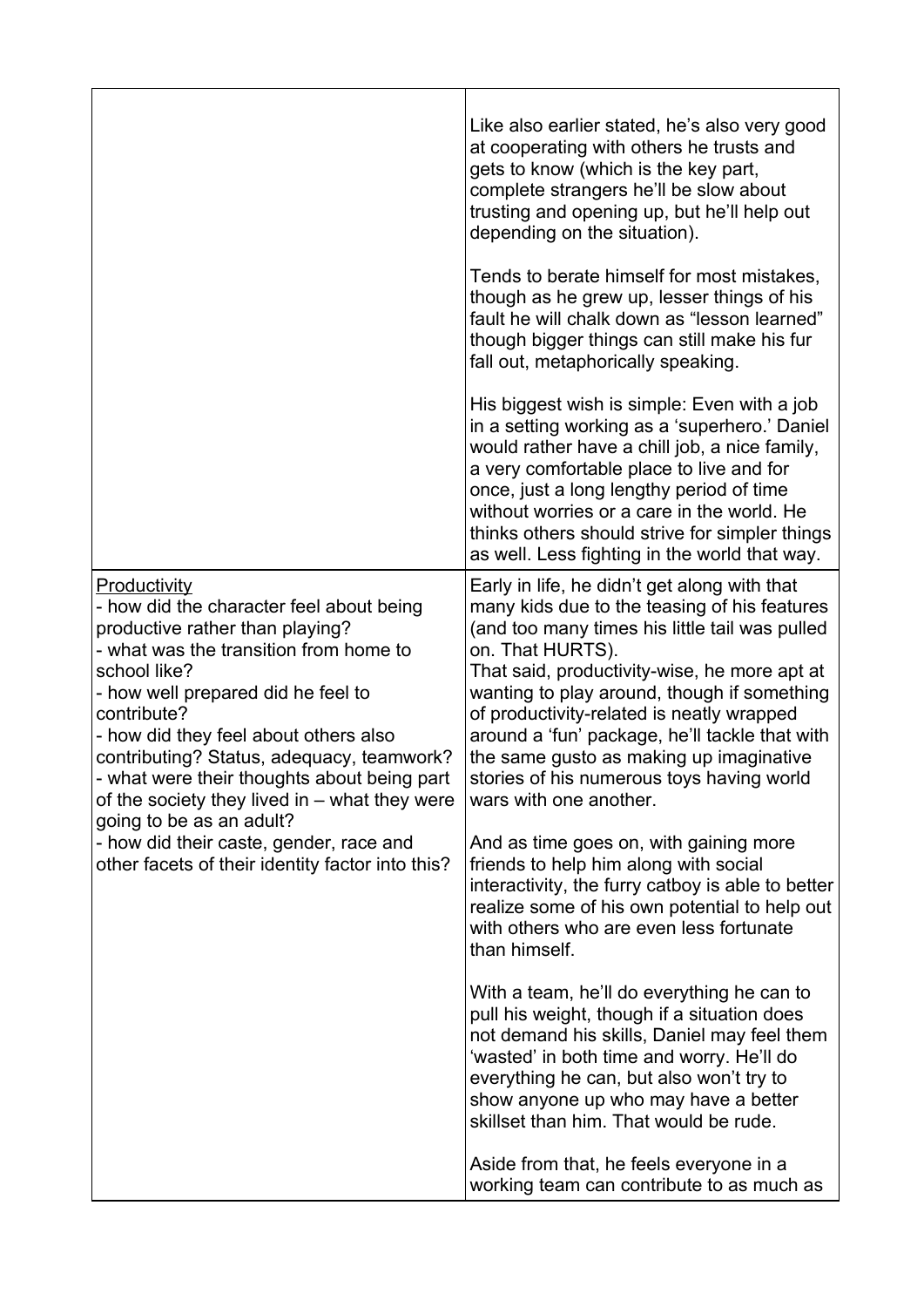|                                                                                                                                                                                                                                                                                                                                                                                                                                                                                                                                    | Like also earlier stated, he's also very good<br>at cooperating with others he trusts and<br>gets to know (which is the key part,<br>complete strangers he'll be slow about<br>trusting and opening up, but he'll help out<br>depending on the situation).<br>Tends to berate himself for most mistakes,<br>though as he grew up, lesser things of his<br>fault he will chalk down as "lesson learned"<br>though bigger things can still make his fur<br>fall out, metaphorically speaking.<br>His biggest wish is simple: Even with a job<br>in a setting working as a 'superhero.' Daniel<br>would rather have a chill job, a nice family,<br>a very comfortable place to live and for<br>once, just a long lengthy period of time<br>without worries or a care in the world. He<br>thinks others should strive for simpler things<br>as well. Less fighting in the world that way. |
|------------------------------------------------------------------------------------------------------------------------------------------------------------------------------------------------------------------------------------------------------------------------------------------------------------------------------------------------------------------------------------------------------------------------------------------------------------------------------------------------------------------------------------|---------------------------------------------------------------------------------------------------------------------------------------------------------------------------------------------------------------------------------------------------------------------------------------------------------------------------------------------------------------------------------------------------------------------------------------------------------------------------------------------------------------------------------------------------------------------------------------------------------------------------------------------------------------------------------------------------------------------------------------------------------------------------------------------------------------------------------------------------------------------------------------|
| <b>Productivity</b><br>- how did the character feel about being<br>productive rather than playing?<br>- what was the transition from home to<br>school like?<br>- how well prepared did he feel to<br>contribute?<br>- how did they feel about others also<br>contributing? Status, adequacy, teamwork?<br>- what were their thoughts about being part<br>of the society they lived in - what they were<br>going to be as an adult?<br>- how did their caste, gender, race and<br>other facets of their identity factor into this? | Early in life, he didn't get along with that<br>many kids due to the teasing of his features<br>(and too many times his little tail was pulled<br>on. That HURTS).<br>That said, productivity-wise, he more apt at<br>wanting to play around, though if something<br>of productivity-related is neatly wrapped<br>around a 'fun' package, he'll tackle that with<br>the same gusto as making up imaginative<br>stories of his numerous toys having world<br>wars with one another.<br>And as time goes on, with gaining more                                                                                                                                                                                                                                                                                                                                                          |
|                                                                                                                                                                                                                                                                                                                                                                                                                                                                                                                                    | friends to help him along with social<br>interactivity, the furry catboy is able to better<br>realize some of his own potential to help out<br>with others who are even less fortunate<br>than himself.                                                                                                                                                                                                                                                                                                                                                                                                                                                                                                                                                                                                                                                                               |
|                                                                                                                                                                                                                                                                                                                                                                                                                                                                                                                                    | With a team, he'll do everything he can to<br>pull his weight, though if a situation does<br>not demand his skills, Daniel may feel them<br>'wasted' in both time and worry. He'll do<br>everything he can, but also won't try to<br>show anyone up who may have a better<br>skillset than him. That would be rude.                                                                                                                                                                                                                                                                                                                                                                                                                                                                                                                                                                   |
|                                                                                                                                                                                                                                                                                                                                                                                                                                                                                                                                    | Aside from that, he feels everyone in a<br>working team can contribute to as much as                                                                                                                                                                                                                                                                                                                                                                                                                                                                                                                                                                                                                                                                                                                                                                                                  |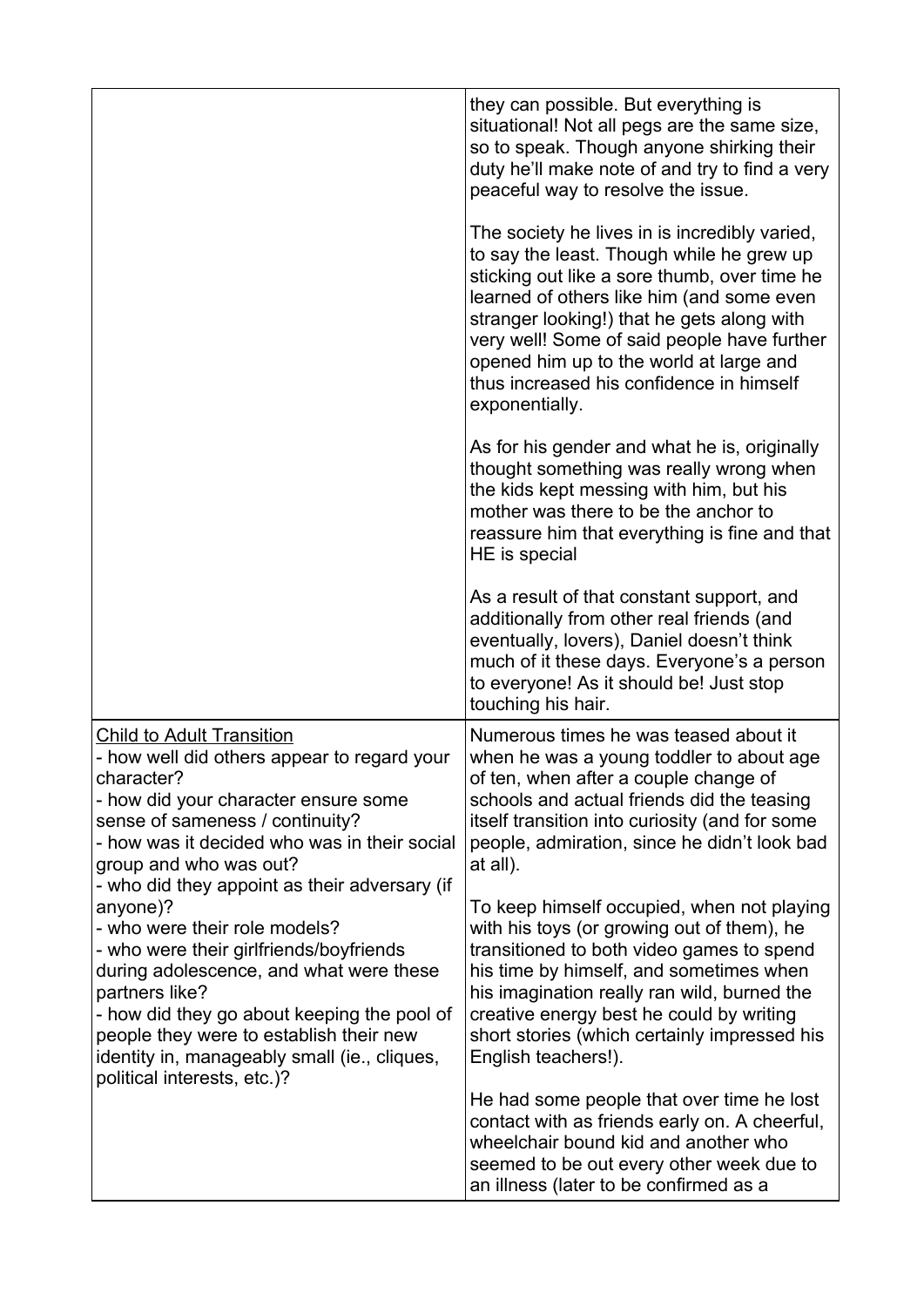|                                                                                                                                                                                                                                                                                                                            | they can possible. But everything is<br>situational! Not all pegs are the same size,<br>so to speak. Though anyone shirking their<br>duty he'll make note of and try to find a very<br>peaceful way to resolve the issue.                                                                                                                                                                     |
|----------------------------------------------------------------------------------------------------------------------------------------------------------------------------------------------------------------------------------------------------------------------------------------------------------------------------|-----------------------------------------------------------------------------------------------------------------------------------------------------------------------------------------------------------------------------------------------------------------------------------------------------------------------------------------------------------------------------------------------|
|                                                                                                                                                                                                                                                                                                                            | The society he lives in is incredibly varied,<br>to say the least. Though while he grew up<br>sticking out like a sore thumb, over time he<br>learned of others like him (and some even<br>stranger looking!) that he gets along with<br>very well! Some of said people have further<br>opened him up to the world at large and<br>thus increased his confidence in himself<br>exponentially. |
|                                                                                                                                                                                                                                                                                                                            | As for his gender and what he is, originally<br>thought something was really wrong when<br>the kids kept messing with him, but his<br>mother was there to be the anchor to<br>reassure him that everything is fine and that<br>HE is special                                                                                                                                                  |
|                                                                                                                                                                                                                                                                                                                            | As a result of that constant support, and<br>additionally from other real friends (and<br>eventually, lovers), Daniel doesn't think<br>much of it these days. Everyone's a person<br>to everyone! As it should be! Just stop<br>touching his hair.                                                                                                                                            |
| <b>Child to Adult Transition</b><br>- how well did others appear to regard your<br>character?<br>- how did your character ensure some<br>sense of sameness / continuity?<br>- how was it decided who was in their social<br>group and who was out?<br>- who did they appoint as their adversary (if                        | Numerous times he was teased about it<br>when he was a young toddler to about age<br>of ten, when after a couple change of<br>schools and actual friends did the teasing<br>itself transition into curiosity (and for some<br>people, admiration, since he didn't look bad<br>at all).                                                                                                        |
| anyone)?<br>- who were their role models?<br>- who were their girlfriends/boyfriends<br>during adolescence, and what were these<br>partners like?<br>- how did they go about keeping the pool of<br>people they were to establish their new<br>identity in, manageably small (ie., cliques,<br>political interests, etc.)? | To keep himself occupied, when not playing<br>with his toys (or growing out of them), he<br>transitioned to both video games to spend<br>his time by himself, and sometimes when<br>his imagination really ran wild, burned the<br>creative energy best he could by writing<br>short stories (which certainly impressed his<br>English teachers!).                                            |
|                                                                                                                                                                                                                                                                                                                            | He had some people that over time he lost<br>contact with as friends early on. A cheerful,<br>wheelchair bound kid and another who<br>seemed to be out every other week due to<br>an illness (later to be confirmed as a                                                                                                                                                                      |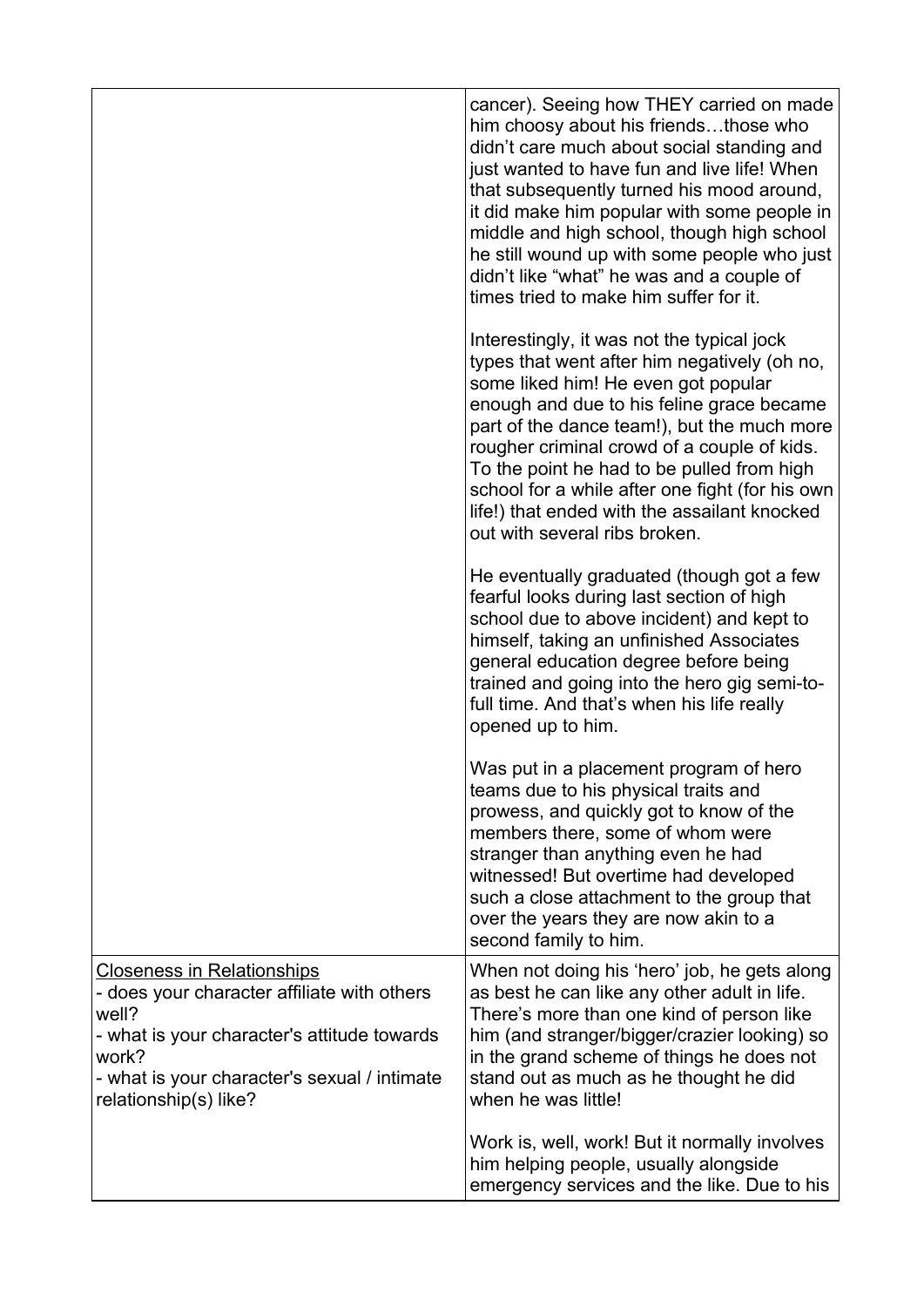|                                                                                                                                                                                                                            | cancer). Seeing how THEY carried on made<br>him choosy about his friendsthose who<br>didn't care much about social standing and<br>just wanted to have fun and live life! When<br>that subsequently turned his mood around,<br>it did make him popular with some people in<br>middle and high school, though high school<br>he still wound up with some people who just<br>didn't like "what" he was and a couple of<br>times tried to make him suffer for it. |
|----------------------------------------------------------------------------------------------------------------------------------------------------------------------------------------------------------------------------|----------------------------------------------------------------------------------------------------------------------------------------------------------------------------------------------------------------------------------------------------------------------------------------------------------------------------------------------------------------------------------------------------------------------------------------------------------------|
|                                                                                                                                                                                                                            | Interestingly, it was not the typical jock<br>types that went after him negatively (oh no,<br>some liked him! He even got popular<br>enough and due to his feline grace became<br>part of the dance team!), but the much more<br>rougher criminal crowd of a couple of kids.<br>To the point he had to be pulled from high<br>school for a while after one fight (for his own<br>life!) that ended with the assailant knocked<br>out with several ribs broken. |
|                                                                                                                                                                                                                            | He eventually graduated (though got a few<br>fearful looks during last section of high<br>school due to above incident) and kept to<br>himself, taking an unfinished Associates<br>general education degree before being<br>trained and going into the hero gig semi-to-<br>full time. And that's when his life really<br>opened up to him.                                                                                                                    |
|                                                                                                                                                                                                                            | Was put in a placement program of hero<br>teams due to his physical traits and<br>prowess, and quickly got to know of the<br>members there, some of whom were<br>stranger than anything even he had<br>witnessed! But overtime had developed<br>such a close attachment to the group that<br>over the years they are now akin to a<br>second family to him.                                                                                                    |
| <b>Closeness in Relationships</b><br>- does your character affiliate with others<br>well?<br>- what is your character's attitude towards<br>work?<br>- what is your character's sexual / intimate<br>relationship(s) like? | When not doing his 'hero' job, he gets along<br>as best he can like any other adult in life.<br>There's more than one kind of person like<br>him (and stranger/bigger/crazier looking) so<br>in the grand scheme of things he does not<br>stand out as much as he thought he did<br>when he was little!                                                                                                                                                        |
|                                                                                                                                                                                                                            | Work is, well, work! But it normally involves<br>him helping people, usually alongside<br>emergency services and the like. Due to his                                                                                                                                                                                                                                                                                                                          |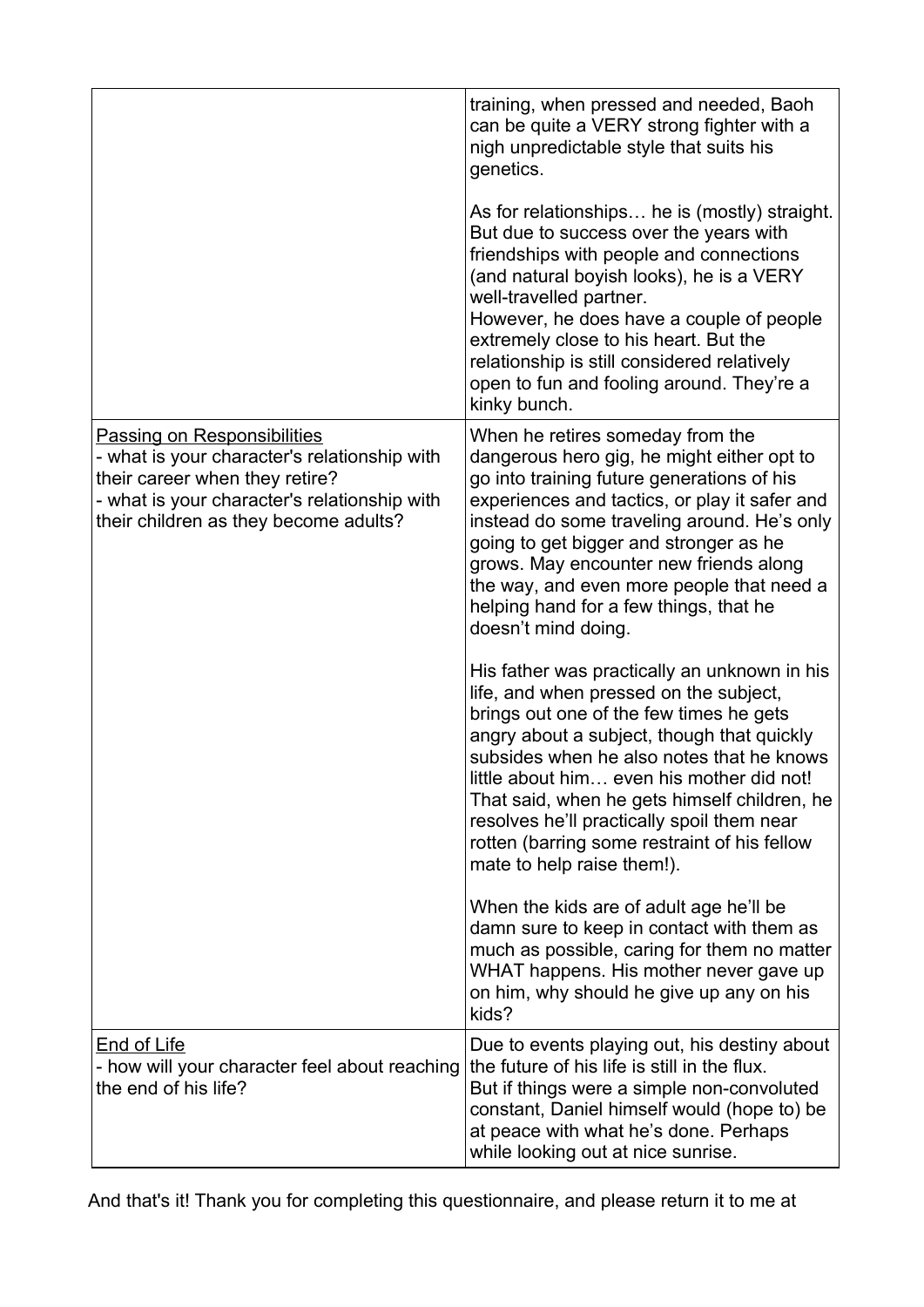|                                                                                                                                                                                                               | training, when pressed and needed, Baoh<br>can be quite a VERY strong fighter with a<br>nigh unpredictable style that suits his<br>genetics.                                                                                                                                                                                                                                                                                                          |
|---------------------------------------------------------------------------------------------------------------------------------------------------------------------------------------------------------------|-------------------------------------------------------------------------------------------------------------------------------------------------------------------------------------------------------------------------------------------------------------------------------------------------------------------------------------------------------------------------------------------------------------------------------------------------------|
|                                                                                                                                                                                                               | As for relationships he is (mostly) straight.<br>But due to success over the years with<br>friendships with people and connections<br>(and natural boyish looks), he is a VERY<br>well-travelled partner.<br>However, he does have a couple of people<br>extremely close to his heart. But the<br>relationship is still considered relatively<br>open to fun and fooling around. They're a<br>kinky bunch.                                            |
| <b>Passing on Responsibilities</b><br>- what is your character's relationship with<br>their career when they retire?<br>- what is your character's relationship with<br>their children as they become adults? | When he retires someday from the<br>dangerous hero gig, he might either opt to<br>go into training future generations of his<br>experiences and tactics, or play it safer and<br>instead do some traveling around. He's only<br>going to get bigger and stronger as he<br>grows. May encounter new friends along<br>the way, and even more people that need a<br>helping hand for a few things, that he<br>doesn't mind doing.                        |
|                                                                                                                                                                                                               | His father was practically an unknown in his<br>life, and when pressed on the subject,<br>brings out one of the few times he gets<br>angry about a subject, though that quickly<br>subsides when he also notes that he knows<br>little about him even his mother did not!<br>That said, when he gets himself children, he<br>resolves he'll practically spoil them near<br>rotten (barring some restraint of his fellow<br>mate to help raise them!). |
|                                                                                                                                                                                                               | When the kids are of adult age he'll be<br>damn sure to keep in contact with them as<br>much as possible, caring for them no matter<br>WHAT happens. His mother never gave up<br>on him, why should he give up any on his<br>kids?                                                                                                                                                                                                                    |
| <b>End of Life</b><br>- how will your character feel about reaching<br>the end of his life?                                                                                                                   | Due to events playing out, his destiny about<br>the future of his life is still in the flux.<br>But if things were a simple non-convoluted<br>constant, Daniel himself would (hope to) be<br>at peace with what he's done. Perhaps<br>while looking out at nice sunrise.                                                                                                                                                                              |

And that's it! Thank you for completing this questionnaire, and please return it to me at